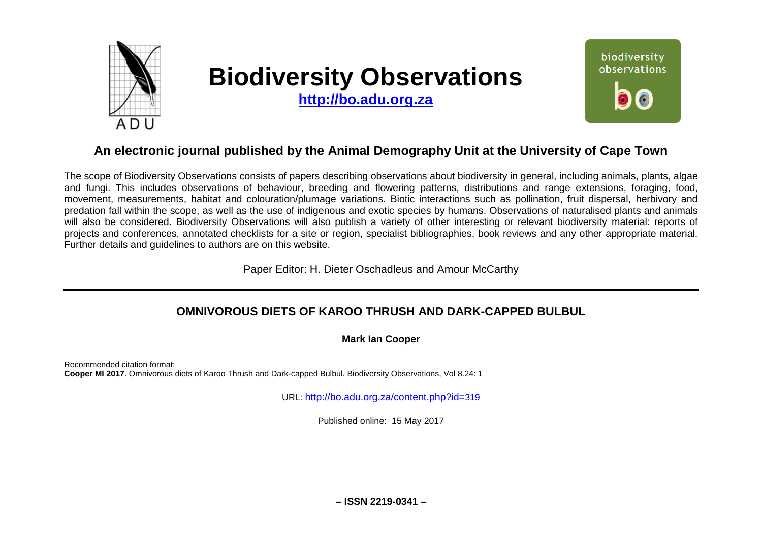

# **Biodiversity Observations**

**[http://bo.adu.org.za](http://bo.adu.org.za/)**



# **An electronic journal published by the Animal Demography Unit at the University of Cape Town**

The scope of Biodiversity Observations consists of papers describing observations about biodiversity in general, including animals, plants, algae and fungi. This includes observations of behaviour, breeding and flowering patterns, distributions and range extensions, foraging, food, movement, measurements, habitat and colouration/plumage variations. Biotic interactions such as pollination, fruit dispersal, herbivory and predation fall within the scope, as well as the use of indigenous and exotic species by humans. Observations of naturalised plants and animals will also be considered. Biodiversity Observations will also publish a variety of other interesting or relevant biodiversity material: reports of projects and conferences, annotated checklists for a site or region, specialist bibliographies, book reviews and any other appropriate material. Further details and guidelines to authors are on this website.

Paper Editor: H. Dieter Oschadleus and Amour McCarthy

## **OMNIVOROUS DIETS OF KAROO THRUSH AND DARK-CAPPED BULBUL**

**Mark Ian Cooper**

Recommended citation format: **Cooper MI 2017**. Omnivorous diets of Karoo Thrush and Dark-capped Bulbul. Biodiversity Observations, Vol 8.24: 1

URL: [http://bo.adu.org.za/content.php?id=](http://bo.adu.org.za/content.php?id=319)319

Published online: 15 May 2017